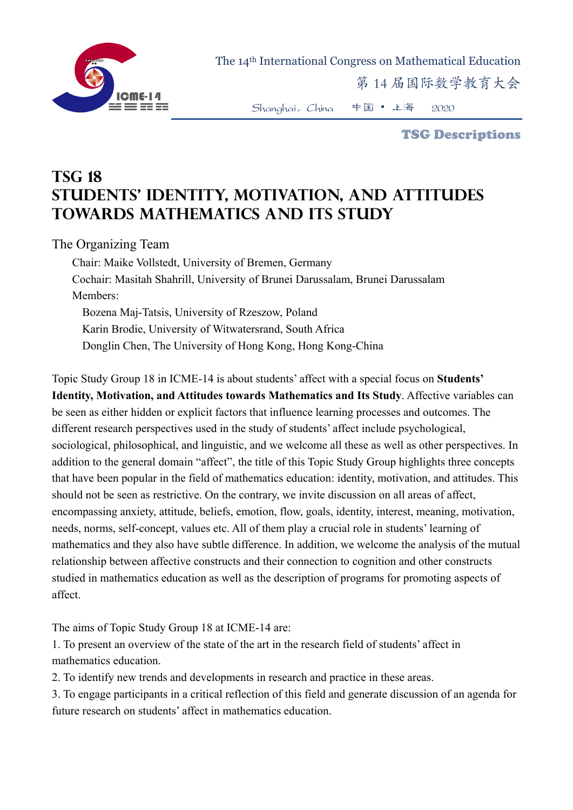

The 14th International Congress on Mathematical Education

第 14 届国际数学教育大会

Shanghai,China 中国 • 上海 2020

TSG Descriptions

## **TSG 18 Students' Identity, Motivation, and Attitudes towards Mathematics and Its Study**

The Organizing Team

Chair: Maike Vollstedt, University of Bremen, Germany Cochair: Masitah Shahrill, University of Brunei Darussalam, Brunei Darussalam Members: Bozena Maj-Tatsis, University of Rzeszow, Poland Karin Brodie, University of Witwatersrand, South Africa Donglin Chen, The University of Hong Kong, Hong Kong-China

Topic Study Group 18 in ICME-14 is about students' affect with a special focus on **Students' Identity, Motivation, and Attitudes towards Mathematics and Its Study**. Affective variables can be seen as either hidden or explicit factors that influence learning processes and outcomes. The different research perspectives used in the study of students' affect include psychological, sociological, philosophical, and linguistic, and we welcome all these as well as other perspectives. In addition to the general domain "affect", the title of this Topic Study Group highlights three concepts that have been popular in the field of mathematics education: identity, motivation, and attitudes. This should not be seen as restrictive. On the contrary, we invite discussion on all areas of affect, encompassing anxiety, attitude, beliefs, emotion, flow, goals, identity, interest, meaning, motivation, needs, norms, self-concept, values etc. All of them play a crucial role in students' learning of mathematics and they also have subtle difference. In addition, we welcome the analysis of the mutual relationship between affective constructs and their connection to cognition and other constructs studied in mathematics education as well as the description of programs for promoting aspects of affect.

The aims of Topic Study Group 18 at ICME-14 are:

1. To present an overview of the state of the art in the research field of students' affect in mathematics education.

2. To identify new trends and developments in research and practice in these areas.

3. To engage participants in a critical reflection of this field and generate discussion of an agenda for future research on students' affect in mathematics education.